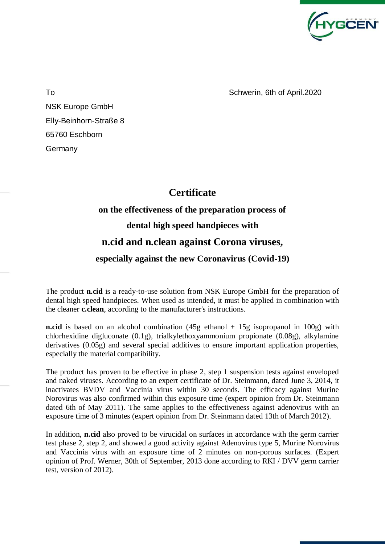

To **Schwerin**, 6th of April.2020

NSK Europe GmbH Elly-Beinhorn-Straße 8 65760 Eschborn **Germany** 

## **Certificate**

## **on the effectiveness of the preparation process of dental high speed handpieces with n.cid and n.clean against Corona viruses,**

## **especially against the new Coronavirus (Covid-19)**

## The product **n.cid** is a ready-to-use solution from NSK Europe GmbH for the preparation of dental high speed handpieces. When used as intended, it must be applied in combination with

the cleaner **c.clean**, according to the manufacturer's instructions. **n.cid** is based on an alcohol combination (45g ethanol + 15g isopropanol in 100g) with

chlorhexidine digluconate (0.1g), trialkylethoxyammonium propionate (0.08g), alkylamine derivatives (0.05g) and several special additives to ensure important application properties, especially the material compatibility.

The product has proven to be effective in phase 2, step 1 suspension tests against enveloped and naked viruses. According to an expert certificate of Dr. Steinmann, dated June 3, 2014, it inactivates BVDV and Vaccinia virus within 30 seconds. The efficacy against Murine Norovirus was also confirmed within this exposure time (expert opinion from Dr. Steinmann dated 6th of May 2011). The same applies to the effectiveness against adenovirus with an exposure time of 3 minutes (expert opinion from Dr. Steinmann dated 13th of March 2012).

In addition, **n.cid** also proved to be virucidal on surfaces in accordance with the germ carrier test phase 2, step 2, and showed a good activity against Adenovirus type 5, Murine Norovirus and Vaccinia virus with an exposure time of 2 minutes on non-porous surfaces. (Expert opinion of Prof. Werner, 30th of September, 2013 done according to RKI / DVV germ carrier test, version of 2012).